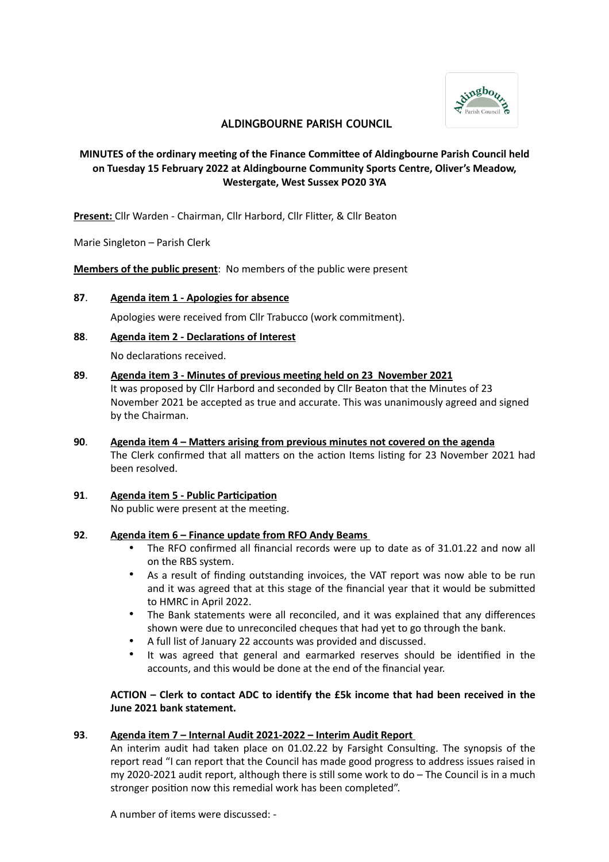

## **ALDINGBOURNE PARISH COUNCIL**

# **MINUTES of the ordinary meeting of the Finance Committee of Aldingbourne Parish Council held on Tuesday 15 February 2022 at Aldingbourne Community Sports Centre, Oliver's Meadow, Westergate, West Sussex PO20 3YA**

**Present:** Cllr Warden - Chairman, Cllr Harbord, Cllr Flitter, & Cllr Beaton

Marie Singleton – Parish Clerk

**Members of the public present**: No members of the public were present

## **87**. **Agenda item 1 - Apologies for absence**

Apologies were received from Cllr Trabucco (work commitment).

## **88**. **Agenda item 2 - Declarations of Interest**

No declarations received.

- **89**. **Agenda item 3 Minutes of previous meeting held on 23 November 2021** It was proposed by Cllr Harbord and seconded by Cllr Beaton that the Minutes of 23 November 2021 be accepted as true and accurate. This was unanimously agreed and signed by the Chairman.
- **90**. **Agenda item 4 Matters arising from previous minutes not covered on the agenda** The Clerk confirmed that all matters on the action Items listing for 23 November 2021 had been resolved.
- **91**. **Agenda item 5 Public Participation** No public were present at the meeting.

## **92**. **Agenda item 6 – Finance update from RFO Andy Beams**

- The RFO confirmed all financial records were up to date as of 31.01.22 and now all on the RBS system.
- As a result of finding outstanding invoices, the VAT report was now able to be run and it was agreed that at this stage of the financial year that it would be submitted to HMRC in April 2022.
- The Bank statements were all reconciled, and it was explained that any differences shown were due to unreconciled cheques that had yet to go through the bank.
- A full list of January 22 accounts was provided and discussed.
- It was agreed that general and earmarked reserves should be identified in the accounts, and this would be done at the end of the financial year.

## **ACTION – Clerk to contact ADC to identify the £5k income that had been received in the June 2021 bank statement.**

## **93**. **Agenda item 7 – Internal Audit 2021-2022 – Interim Audit Report**

An interim audit had taken place on 01.02.22 by Farsight Consulting. The synopsis of the report read "I can report that the Council has made good progress to address issues raised in my 2020-2021 audit report, although there is still some work to do – The Council is in a much stronger position now this remedial work has been completed".

A number of items were discussed: -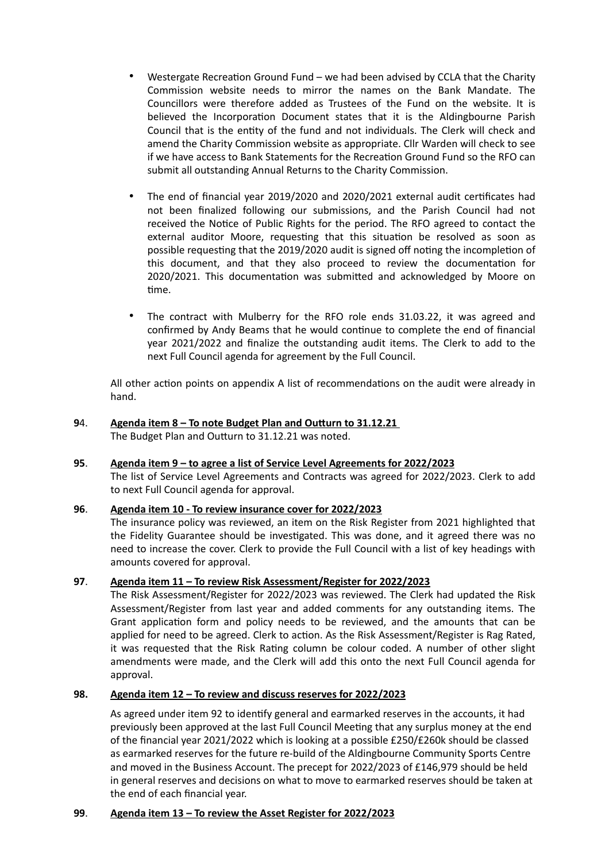- Westergate Recreation Ground Fund we had been advised by CCLA that the Charity Commission website needs to mirror the names on the Bank Mandate. The Councillors were therefore added as Trustees of the Fund on the website. It is believed the Incorporation Document states that it is the Aldingbourne Parish Council that is the entity of the fund and not individuals. The Clerk will check and amend the Charity Commission website as appropriate. Cllr Warden will check to see if we have access to Bank Statements for the Recreation Ground Fund so the RFO can submit all outstanding Annual Returns to the Charity Commission.
- The end of financial year 2019/2020 and 2020/2021 external audit certificates had not been finalized following our submissions, and the Parish Council had not received the Notice of Public Rights for the period. The RFO agreed to contact the external auditor Moore, requesting that this situation be resolved as soon as possible requesting that the 2019/2020 audit is signed off noting the incompletion of this document, and that they also proceed to review the documentation for 2020/2021. This documentation was submitted and acknowledged by Moore on time.
- The contract with Mulberry for the RFO role ends 31.03.22, it was agreed and confirmed by Andy Beams that he would continue to complete the end of financial year 2021/2022 and finalize the outstanding audit items. The Clerk to add to the next Full Council agenda for agreement by the Full Council.

All other action points on appendix A list of recommendations on the audit were already in hand.

# **9**4. **Agenda item 8 – To note Budget Plan and Outturn to 31.12.21**

The Budget Plan and Outturn to 31.12.21 was noted.

## **95**. **Agenda item 9 – to agree a list of Service Level Agreements for 2022/2023**

The list of Service Level Agreements and Contracts was agreed for 2022/2023. Clerk to add to next Full Council agenda for approval.

## **96**. **Agenda item 10 - To review insurance cover for 2022/2023**

The insurance policy was reviewed, an item on the Risk Register from 2021 highlighted that the Fidelity Guarantee should be investigated. This was done, and it agreed there was no need to increase the cover. Clerk to provide the Full Council with a list of key headings with amounts covered for approval.

## **97**. **Agenda item 11 – To review Risk Assessment/Register for 2022/2023**

The Risk Assessment/Register for 2022/2023 was reviewed. The Clerk had updated the Risk Assessment/Register from last year and added comments for any outstanding items. The Grant application form and policy needs to be reviewed, and the amounts that can be applied for need to be agreed. Clerk to action. As the Risk Assessment/Register is Rag Rated, it was requested that the Risk Rating column be colour coded. A number of other slight amendments were made, and the Clerk will add this onto the next Full Council agenda for approval.

## **98. Agenda item 12 – To review and discuss reserves for 2022/2023**

As agreed under item 92 to identify general and earmarked reserves in the accounts, it had previously been approved at the last Full Council Meeting that any surplus money at the end of the financial year 2021/2022 which is looking at a possible £250/£260k should be classed as earmarked reserves for the future re-build of the Aldingbourne Community Sports Centre and moved in the Business Account. The precept for 2022/2023 of £146,979 should be held in general reserves and decisions on what to move to earmarked reserves should be taken at the end of each financial year.

## **99**. **Agenda item 13 – To review the Asset Register for 2022/2023**